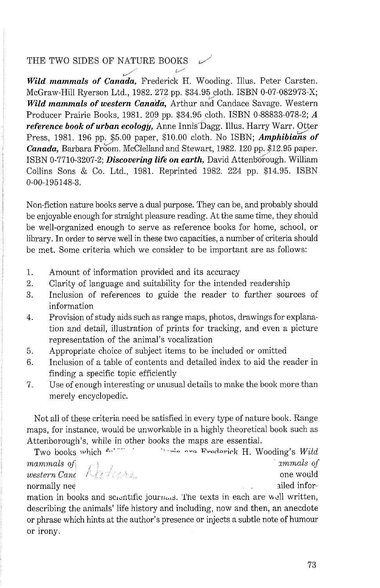## THE TWO SIDES OF NATURE BOOKS

and two sides of *Mittons Books*<br>**Wild mammals of Canada**, Frederick H. Wooding. Illus. Peter Carsten. McGraw-Hill Ryerson Ltd., 1982. 272 pp. \$34.95 cloth. ISBN 0-07-082973-X; *Wild mammals of western Canada*. Arthur and Candace Savage. Western Producer Prairie Boolts, 1981. 209 pp. \$34.95 cloth. ISBN 0-88833-078-2; *A reference book of urban ecology:* Anne Innis'Dagg. Illus. Harry Warr. Otter Press, 1981. 196 pp. \$5.00 paper, \$10.00 cloth. No ISBN; *Amphibians of Canada, Barbara Froom. McClelland and Stewart, 1982, 120 pp. \$12.95 paper.* ISBN 0-7710-3207-2; *Discovering life on earth*, David Attenborough. William Collins Sons & Co. Ltd., 1981. Reprinted 1982. 224 pp. \$14.95. ISBN 0-00-195148-3.

Non-fiction nature boolts serve a dual purpose. They can be, and probably should be enjoyable enough for straight pleasure reading. At the same time, they should be well-organized enough to serve as reference books for home, school, or library. In order to serve well in these two capacities, a number of criteria should be met. Some criteria which we consider to be important are as follows:

- 1. Amount of information provided and its accuracy
- 2. Clarity of language and suitability for the intended readership
- 3. Inclusion of references to guide the reader to further sources of information
- 4. Provision of study aids such as range maps, photos, drawings for explanation and detail, illustration of prints for tracking, and even a picture representation of the animal's vocalization
- 5. Appropriate choice of subject items to be included or omitted
- 6. Inclusion of a table of contents and detailed index to aid the reader in finding a specific topic efficiently
- 7. Use of enough interesting or unusual details to make the book more than merely encyclopedic.

Not all of these criteria need be satisfied in every type of nature book. Range maps, for instance, would be unworkable in a highly theoretical book such as Attenborough's, while in other books the maps are essential.

Two books which *t*-<sup>-</sup> <sup>---</sup> <sup>1</sup> " -.-;- **"-0 pr~rl~~i~k** H. Wooding's *Wild ?nammals* of *xmmals* of mammats by the second western *Cancel Assembly* and the second western *Cancel* Assembly normally need and the state of the state of the state of the state of the state of the state of the state of the state of the state of the state of the state of the state of the state of the state of the state of the state

mation in books and screntific journeds. The texts in each are well written, describing the animals' life history and including, now and then, an anecdote or phrase which hints at the author's presence or injects a subtle note of humour or irony.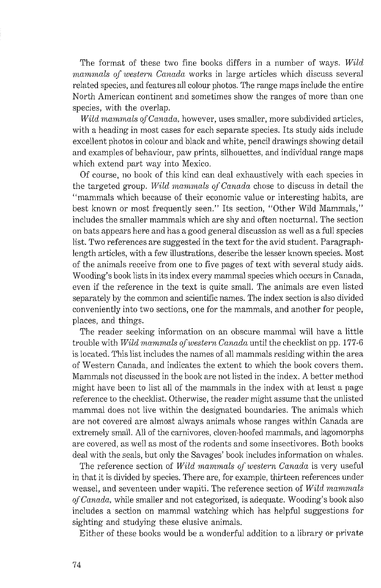The format of these two fine books differs in a number of ways. *Wild mammals of western Canada* works in large articles which discuss several related species, and features all colour photos. The range maps include the entire North American continent and sometimes show the ranges of more than one species, with the overlap.

*Wild mammals of Canada, however, uses smaller, more subdivided articles,* with a heading in most cases for each separate species. Its study aids include excellent photos in colour and black and white, pencil drawings showing detail and examples of behaviour, paw prints, silhouettes, and individual range maps which extend part way into Mexico.

Of course, no book of this kind can deal exhaustively with each species in the targeted group. *Wild mammals of Canada* chose to discuss in detail the "mammals which because of their economic value or interesting habits, are best known or most frequently seen." Its section, "Other Wild Mammals," includes the smaller mammals which are shy and often nocturnal. The section on bats appears here and has a good general discussion as well as a full species list. Two references are suggested in the text for the avid student. Paragraphlength articles, with a few illustrations, describe the lesser known species. Most of the animals receive from one to five pages of text with several study aids. Wooding's book lists in its index every mammal species which occurs in Canada, even if the reference in the text is quite small. The animals are even listed separately by the common and scientific names. The index section is also divided conveniently into two sections, one for the mammals, and another for people, places, and things.

The reader seeking information on an obscure mammal will have a little trouble with *Wild mammals of western Canada* until the checklist on pp. 177-6 is located. This list includes the names of all mammals residing within the area of Western Canada, and indicates the extent to which the book covers them. Mammals not discussed in the book are not listed in the index. A better method might have been to list all of the mammals in the index with at least a page reference to the checklist. Otherwise, the reader might assume that the unlisted mammal does not live within the designated boundaries. The animals which are not covered are almost always animals whose ranges within Canada are extremely small. All of the carnivores, cloven-hoofed mammals, and lagomorphs are covered, as well as most of the rodents and some insectivores. Both books deal with the seals, but only the Savages' book includes information on whales.

The reference section of *Wild nzammals* **of** *western Canada* is very useful in that it is divided by species. There are, for example, thirteen references under weasel, and seventeen under wapiti. The reference section of *Wild mammals*  **of** *Canada,* while smaller and not categorized, is adequate. Wooding's book also includes a section on mammal watching which has helpful suggestions for sighting and studying these elusive animals.

Either of these books would be a wonderful addition to a library or private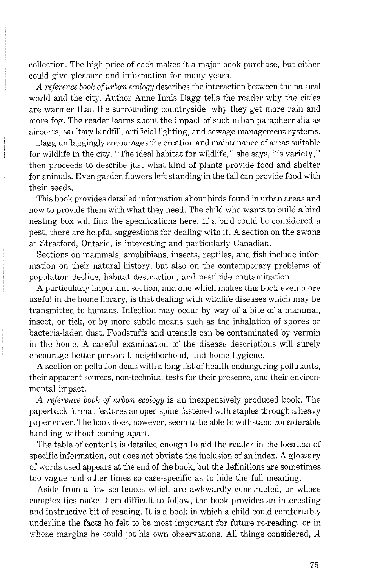collection. The high price of each makes it a major book purchase, but either could give pleasure and information for many years.

A reference book of urban ecology describes the interaction between the natural world and the city. Author Anne Innis Dagg tells the reader why the cities are warmer than the surrounding countryside, why they get more rain and more fog. The reader learns about the impact of such urban paraphernalia as airports, sanitary landfill, artificial lighting, and sewage management systems.

Dagg unflaggingly encourages the creation and maintenance of areas suitable for wildlife in the city. "The ideal habitat for wildlife," she says, "is variety," then proceeds to describe just what kind of plants provide food and shelter for animals. Even garden flowers left standing in the fall can provide food with their seeds.

This book provides detailed information about birds found in urban areas and how to provide them with what they need. The child who wants to build a bird nesting box will find the specifications here. If a bird could be considered a pest, there are helpful suggestions for dealing with it. A section on the swans at Stratford, Ontario, is interesting and particularly Canadian.

Sections on mammals, amphibians, insects, reptiles, and fish include information on their natural history, but also on the contemporary problems of population decline, habitat destruction, and pesticide contamination.

A particularly important section, and one which makes this book even more useful in the home library, is that dealing with wildlife diseases which may be transmitted to humans. Infection may occur by way of a bite of a mammal, insect, or tick, or by more subtle means such as the inhalation of spores or bacteria-laden dust. Foodstuffs and utensils can be contaminated by vermin in the home. A careful examination of the disease descriptions will surely encourage better personal, neighborhood, and home hygiene.

A section on pollution deals with a long list of health-endangering pollutants, their apparent sources, non-technical tests for their presence, and their environmental impact.

A reference book of urban ecology is an inexpensively produced book. The paperback format features an open spine fastened with staples through a heavy paper cover. The book does, however, seem to be able to withstand considerable handling without coming apart.

The table of contents is detailed enough to aid the reader in the location of specific information, but does not obviate the inclusion of an index. A glossary of words used appears at the end of the book, but the definitions are sometimes too vague and other times so case-specific as to hide the full meaning.

Aside from a few sentences which are awkwardly constructed, or whose complexities make them difficult to follow, the book provides an interesting and instructive bit of reading. It is a book in which a child could comfortably underline the facts he felt to be most important for future re-reading, or in whose margins he could jot his own observations. All things considered,  $A$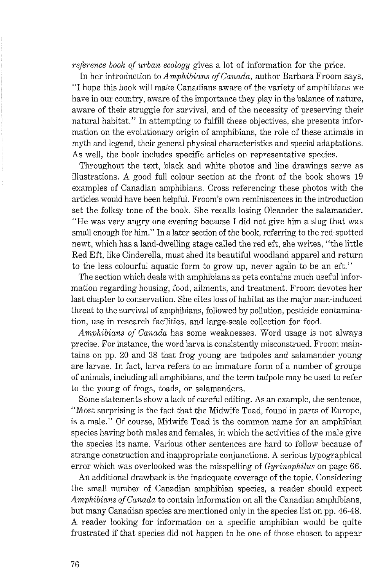reference book of urban ecology gives a lot of information for the price.

In her introduction to Amphibians of Canada, author Barbara Froom says, "I hope this book will make Canadians aware of the variety of amphibians we have in our country, aware of the importance they play in the balance of nature, aware of their struggle for survival, and of the necessity of preserving their natural habitat." In attempting to fulfill these objectives, she presents information on the evolutionary origin of amphibians, the role of these animals in myth and legend, their general physical characteristics and special adaptations. As well, the book includes specific articles on representative species.

Throughout the text, black and white photos and line drawings serve as illustrations. A good full colour section at the front of the book shows 19 examples of Canadian amphibians. Cross referencing these photos with the articles would have been helpful. Froom's own reminiscences in the introduction set the folksy tone of the book. She recalls losing Oleander the salamander. "He was very angry one evening because I did not give him a slug that was small enough for him." In a later section of the book, referring to the red-spotted newt, which has a land-dwelling stage called the red eft, she writes, "the little Red Eft, like Cinderella, must shed its beautiful woodland apparel and return to the less colourful aquatic form to grow up, never again to be an eft."

The section which deals with amphibians as pets contains much useful information regarding housing, food, ailments, and treatment. Froom devotes her last chapter to conservation. She cites loss of habitat as the major man-induced threat to the survival of amphibians, followed by pollution, pesticide contamination, use in research facilities, and large-scale collection for food.

Amphibians of Canada has some weaknesses. Word usage is not always precise. For instance, the word larva is consistently misconstrued. Froom maintains on pp. 20 and 38 that frog young are tadpoles and salamander young are larvae. In fact, larva refers to an immature form of a number of groups of animals, including all amphibians, and the term tadpole may be used to refer to the young of frogs, toads, or salamanders.

Some statements show a lack of careful editing. As an example, the sentence, "Most surprising is the fact that the Midwife Toad, found in parts of Europe, is a male." Of course, Midwife Toad is the common name for an amphibian species having both males and females, in which the activities of the male give the species its name. Various other sentences are hard to follow because of strange construction and inappropriate conjunctions. A serious typographical error which was overlooked was the misspelling of *Gyrinophilus* on page 66.

An additional drawback is the inadequate coverage of the topic. Considering the small number of Canadian amphibian species, a reader should expect Amphibians of Canada to contain information on all the Canadian amphibians, but many Canadian species are mentioned only in the species list on pp. 46-48. A reader looking for information on a specific amphibian would be quite frustrated if that species did not happen to be one of those chosen to appear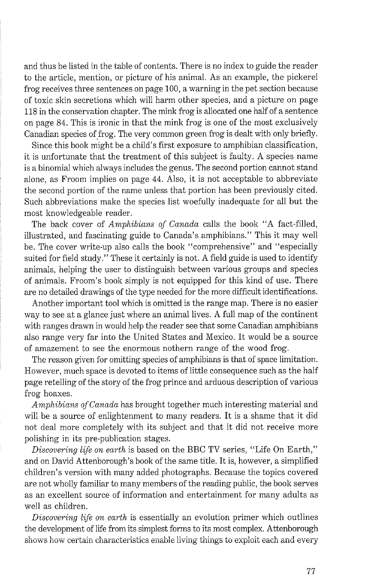and thus be listed in the table of contents. There is no index to guide the reader to the article, mention, or picture of his animal. As an example, the pickerel frog receives three sentences on page 100, a warning in the pet section because of toxic skin secretions which will harm other species, and a picture on page 118 in the conservation chapter. The mink frog is allocated one half of a sentence on page 84. This is ironic in that the mink frog is one of the most exclusively Canadian species of frog. The very common green frog is dealt with only briefly.

Since this book might be a child's first exposure to amphibian classification, it is unfortunate that the treatment of this subject is faulty. A species name is a binomial which always includes the genus. The second portion cannot stand alone, as Froom implies on page 44. Also, it is not acceptable to abbreviate the second portion of the name unless that portion has been previously cited. Such abbreviations make the species list woefully inadequate for all but the most knowledgeable reader.

The back cover of *Amphibians of Canada* calls the book "A fact-filled, illustrated, and fascinating guide to Canada's amphibians." This it may well be. The cover write-up also calls the book "comprehensive" and "especially suited for field study." These it certainly is not. A field guide is used to identify animals, helping the user to distinguish between various groups and species of animals. Froom's book simply is not equipped for this kind of use. There are no detailed drawings of the type needed for the more difficult identifications.

Another important tool which is omitted is the range map. There is no easier way to see at a glance just where an animal lives. A full map of the continent with ranges drawn in would help the reader see that some Canadian amphibians also range very far into the United States and Mexico. It would be a source of amazement to see the enormous nothern range of the wood frog.

The reason given for omitting species of amphibians is that of space limitation. However, much space is devoted to items of little consequence such as the half page retelling of the story of the frog prince and arduous description of various frog hoaxes.

*Amphibians of Canada* has brought together much interesting material and will be a source of enlightenment to many readers. It is a shame that it did not deal more completely with its subject and that it did not receive more polishing in its pre-publication stages.

*Discovering life on earth* is based on the BBC TV series, "Life On Earth," and on David Attenborough's book of the same title. It is, however, a simplified children's version with many added photographs. Because the topics covered are not wholly familiar to many members of the reading public, the book serves as an excellent source of information and entertainment for many adults as well as children.

*Discovering life on earth* is essentially an evolution primer which outlines the development of life from its simplest forms to its most complex. Attenborough shows how certain characteristics enable living things to exploit each and every